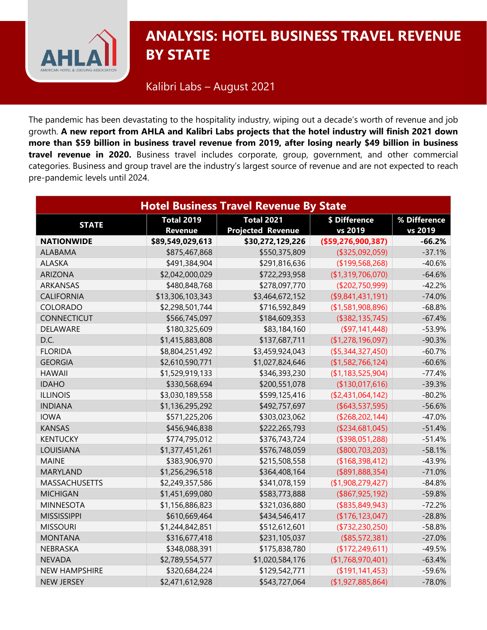

## **CORONALYSIS: HOTEL BUSINESS TRAVEL REVENUE BY STATE**

Kalibri Labs – August 2021

The pandemic has been devastating to the hospitality industry, wiping out a decade's worth of revenue and job growth. **A new report from AHLA and Kalibri Labs projects that the hotel industry will finish 2021 down more than \$59 billion in business travel revenue from 2019, after losing nearly \$49 billion in business travel revenue in 2020.** Business travel includes corporate, group, government, and other commercial categories. Business and group travel are the industry's largest source of revenue and are not expected to reach pre-pandemic levels until 2024.

| <b>Hotel Business Travel Revenue By State</b> |                                     |                                               |                          |                         |  |  |
|-----------------------------------------------|-------------------------------------|-----------------------------------------------|--------------------------|-------------------------|--|--|
| <b>STATE</b>                                  | <b>Total 2019</b><br><b>Revenue</b> | <b>Total 2021</b><br><b>Projected Revenue</b> | \$ Difference<br>vs 2019 | % Difference<br>vs 2019 |  |  |
| <b>NATIONWIDE</b>                             | \$89,549,029,613                    | \$30,272,129,226                              | (\$59,276,900,387)       | $-66.2%$                |  |  |
| <b>ALABAMA</b>                                | \$875,467,868                       | \$550,375,809                                 | (\$325,092,059)          | $-37.1%$                |  |  |
| <b>ALASKA</b>                                 | \$491,384,904                       | \$291,816,636                                 | (\$199,568,268)          | $-40.6%$                |  |  |
| <b>ARIZONA</b>                                | \$2,042,000,029                     | \$722,293,958                                 | (\$1,319,706,070)        | $-64.6%$                |  |  |
| <b>ARKANSAS</b>                               | \$480,848,768                       | \$278,097,770                                 | (\$202,750,999)          | $-42.2%$                |  |  |
| <b>CALIFORNIA</b>                             | \$13,306,103,343                    | \$3,464,672,152                               | $($ \$9,841,431,191)     | $-74.0%$                |  |  |
| COLORADO                                      | \$2,298,501,744                     | \$716,592,849                                 | (\$1,581,908,896)        | $-68.8%$                |  |  |
| <b>CONNECTICUT</b>                            | \$566,745,097                       | \$184,609,353                                 | (\$382, 135, 745)        | $-67.4%$                |  |  |
| DELAWARE                                      | \$180,325,609                       | \$83,184,160                                  | (\$97,141,448)           | $-53.9%$                |  |  |
| D.C.                                          | \$1,415,883,808                     | \$137,687,711                                 | (\$1,278,196,097)        | $-90.3%$                |  |  |
| <b>FLORIDA</b>                                | \$8,804,251,492                     | \$3,459,924,043                               | (\$5,344,327,450)        | $-60.7%$                |  |  |
| <b>GEORGIA</b>                                | \$2,610,590,771                     | \$1,027,824,646                               | (\$1,582,766,124)        | $-60.6%$                |  |  |
| <b>HAWAII</b>                                 | \$1,529,919,133                     | \$346,393,230                                 | (\$1,183,525,904)        | $-77.4%$                |  |  |
| <b>IDAHO</b>                                  | \$330,568,694                       | \$200,551,078                                 | (\$130,017,616)          | $-39.3%$                |  |  |
| <b>ILLINOIS</b>                               | \$3,030,189,558                     | \$599,125,416                                 | (\$2,431,064,142)        | $-80.2%$                |  |  |
| <b>INDIANA</b>                                | \$1,136,295,292                     | \$492,757,697                                 | ( \$643, 537, 595)       | $-56.6%$                |  |  |
| <b>IOWA</b>                                   | \$571,225,206                       | \$303,023,062                                 | ( \$268, 202, 144)       | $-47.0%$                |  |  |
| <b>KANSAS</b>                                 | \$456,946,838                       | \$222,265,793                                 | (\$234,681,045)          | $-51.4%$                |  |  |
| <b>KENTUCKY</b>                               | \$774,795,012                       | \$376,743,724                                 | (\$398,051,288)          | $-51.4%$                |  |  |
| LOUISIANA                                     | \$1,377,451,261                     | \$576,748,059                                 | (\$800,703,203)          | $-58.1%$                |  |  |
| <b>MAINE</b>                                  | \$383,906,970                       | \$215,508,558                                 | (\$168,398,412)          | $-43.9%$                |  |  |
| <b>MARYLAND</b>                               | \$1,256,296,518                     | \$364,408,164                                 | $($ \$891,888,354)       | $-71.0%$                |  |  |
| <b>MASSACHUSETTS</b>                          | \$2,249,357,586                     | \$341,078,159                                 | (\$1,908,279,427)        | $-84.8%$                |  |  |
| <b>MICHIGAN</b>                               | \$1,451,699,080                     | \$583,773,888                                 | ( \$867, 925, 192)       | $-59.8%$                |  |  |
| <b>MINNESOTA</b>                              | \$1,156,886,823                     | \$321,036,880                                 | ( \$835, 849, 943)       | $-72.2%$                |  |  |
| <b>MISSISSIPPI</b>                            | \$610,669,464                       | \$434,546,417                                 | (\$176,123,047)          | $-28.8%$                |  |  |
| <b>MISSOURI</b>                               | \$1,244,842,851                     | \$512,612,601                                 | (\$732, 230, 250)        | $-58.8%$                |  |  |
| <b>MONTANA</b>                                | \$316,677,418                       | \$231,105,037                                 | (\$85,572,381)           | $-27.0%$                |  |  |
| NEBRASKA                                      | \$348,088,391                       | \$175,838,780                                 | (\$172,249,611)          | $-49.5%$                |  |  |
| <b>NEVADA</b>                                 | \$2,789,554,577                     | \$1,020,584,176                               | (\$1,768,970,401)        | $-63.4%$                |  |  |
| <b>NEW HAMPSHIRE</b>                          | \$320,684,224                       | \$129,542,771                                 | (\$191,141,453)          | $-59.6%$                |  |  |
| <b>NEW JERSEY</b>                             | \$2,471,612,928                     | \$543,727,064                                 | (\$1,927,885,864)        | $-78.0%$                |  |  |